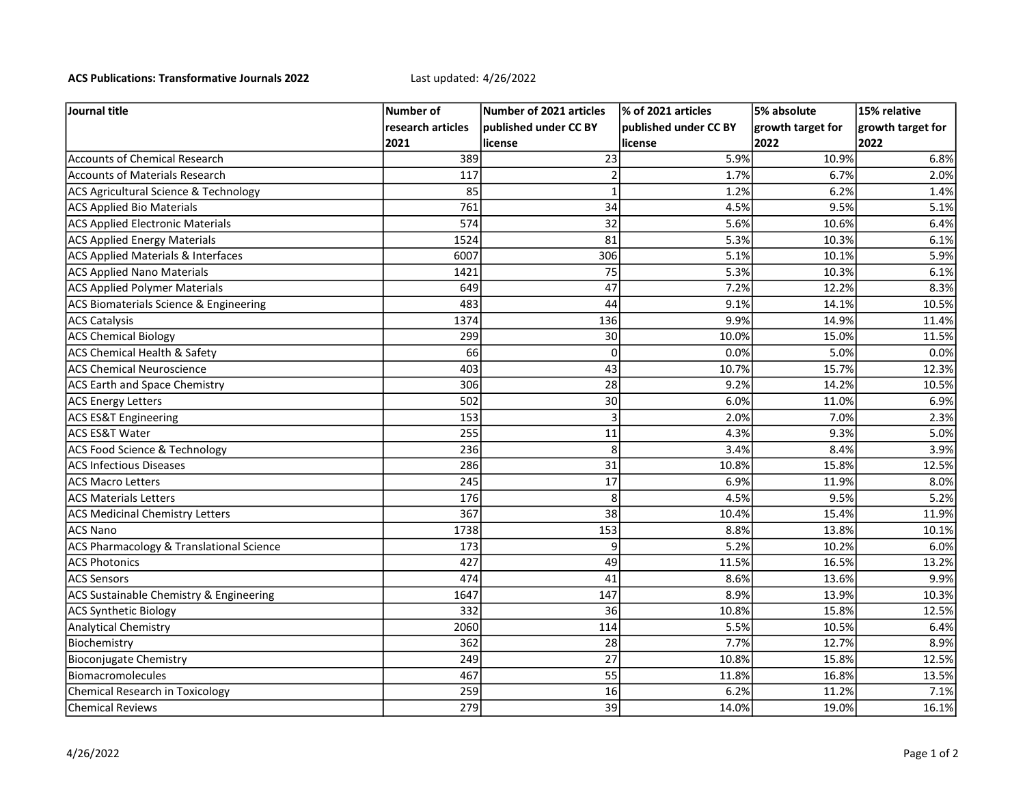## ACS Publications: Transformative Journals 2022 Last updated: 4/26/2022

| Journal title                                      | Number of         | Number of 2021 articles | % of 2021 articles    | 5% absolute       | 15% relative      |
|----------------------------------------------------|-------------------|-------------------------|-----------------------|-------------------|-------------------|
|                                                    | research articles | lpublished under CC BY  | published under CC BY | growth target for | growth target for |
|                                                    | 2021              | license                 | license               | 2022              | 2022              |
| <b>Accounts of Chemical Research</b>               | 389               | 23                      | 5.9%                  | 10.9%             | 6.8%              |
| <b>Accounts of Materials Research</b>              | 117               | 2                       | 1.7%                  | 6.7%              | 2.0%              |
| ACS Agricultural Science & Technology              | 85                | $\mathbf 1$             | 1.2%                  | 6.2%              | 1.4%              |
| <b>ACS Applied Bio Materials</b>                   | 761               | 34                      | 4.5%                  | 9.5%              | 5.1%              |
| <b>ACS Applied Electronic Materials</b>            | 574               | 32                      | 5.6%                  | 10.6%             | 6.4%              |
| <b>ACS Applied Energy Materials</b>                | 1524              | 81                      | 5.3%                  | 10.3%             | 6.1%              |
| <b>ACS Applied Materials &amp; Interfaces</b>      | 6007              | 306                     | 5.1%                  | 10.1%             | 5.9%              |
| <b>ACS Applied Nano Materials</b>                  | 1421              | 75                      | 5.3%                  | 10.3%             | 6.1%              |
| <b>ACS Applied Polymer Materials</b>               | 649               | 47                      | 7.2%                  | 12.2%             | 8.3%              |
| ACS Biomaterials Science & Engineering             | 483               | 44                      | 9.1%                  | 14.1%             | 10.5%             |
| <b>ACS Catalysis</b>                               | 1374              | 136                     | 9.9%                  | 14.9%             | 11.4%             |
| <b>ACS Chemical Biology</b>                        | 299               | 30                      | 10.0%                 | 15.0%             | 11.5%             |
| ACS Chemical Health & Safety                       | 66                | $\Omega$                | 0.0%                  | 5.0%              | 0.0%              |
| <b>ACS Chemical Neuroscience</b>                   | 403               | 43                      | 10.7%                 | 15.7%             | 12.3%             |
| <b>ACS Earth and Space Chemistry</b>               | 306               | 28                      | 9.2%                  | 14.2%             | 10.5%             |
| <b>ACS Energy Letters</b>                          | 502               | 30                      | 6.0%                  | 11.0%             | 6.9%              |
| <b>ACS ES&amp;T Engineering</b>                    | 153               | 3                       | 2.0%                  | 7.0%              | 2.3%              |
| ACS ES&T Water                                     | 255               | 11                      | 4.3%                  | 9.3%              | 5.0%              |
| <b>ACS Food Science &amp; Technology</b>           | 236               | 8                       | 3.4%                  | 8.4%              | 3.9%              |
| <b>ACS Infectious Diseases</b>                     | 286               | 31                      | 10.8%                 | 15.8%             | 12.5%             |
| <b>ACS Macro Letters</b>                           | 245               | 17                      | 6.9%                  | 11.9%             | 8.0%              |
| <b>ACS Materials Letters</b>                       | 176               | 8                       | 4.5%                  | 9.5%              | 5.2%              |
| <b>ACS Medicinal Chemistry Letters</b>             | 367               | 38                      | 10.4%                 | 15.4%             | 11.9%             |
| ACS Nano                                           | 1738              | 153                     | 8.8%                  | 13.8%             | 10.1%             |
| ACS Pharmacology & Translational Science           | 173               | 9                       | 5.2%                  | 10.2%             | 6.0%              |
| <b>ACS Photonics</b>                               | 427               | 49                      | 11.5%                 | 16.5%             | 13.2%             |
| <b>ACS Sensors</b>                                 | 474               | 41                      | 8.6%                  | 13.6%             | 9.9%              |
| <b>ACS Sustainable Chemistry &amp; Engineering</b> | 1647              | 147                     | 8.9%                  | 13.9%             | 10.3%             |
| <b>ACS Synthetic Biology</b>                       | 332               | 36                      | 10.8%                 | 15.8%             | 12.5%             |
| <b>Analytical Chemistry</b>                        | 2060              | 114                     | 5.5%                  | 10.5%             | 6.4%              |
| Biochemistry                                       | 362               | 28                      | 7.7%                  | 12.7%             | 8.9%              |
| Bioconjugate Chemistry                             | 249               | 27                      | 10.8%                 | 15.8%             | 12.5%             |
| Biomacromolecules                                  | 467               | 55                      | 11.8%                 | 16.8%             | 13.5%             |
| Chemical Research in Toxicology                    | 259               | 16                      | 6.2%                  | 11.2%             | 7.1%              |
| <b>Chemical Reviews</b>                            | 279               | 39                      | 14.0%                 | 19.0%             | 16.1%             |